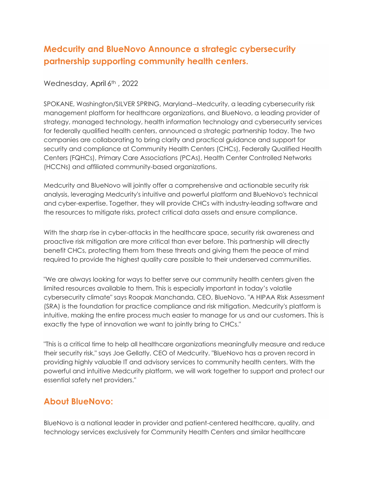## **Medcurity and BlueNovo Announce a strategic cybersecurity partnership supporting community health centers.**

Wednesday, April 6th, 2022

SPOKANE, Washington/SILVER SPRING, Maryland--Medcurity, a leading cybersecurity risk management platform for healthcare organizations, and BlueNovo, a leading provider of strategy, managed technology, health information technology and cybersecurity services for federally qualified health centers, announced a strategic partnership today. The two companies are collaborating to bring clarity and practical guidance and support for security and compliance at Community Health Centers (CHCs), Federally Qualified Health Centers (FQHCs), Primary Care Associations (PCAs), Health Center Controlled Networks (HCCNs) and affiliated community-based organizations.

Medcurity and BlueNovo will jointly offer a comprehensive and actionable security risk analysis, leveraging Medcurity's intuitive and powerful platform and BlueNovo's technical and cyber-expertise. Together, they will provide CHCs with industry-leading software and the resources to mitigate risks, protect critical data assets and ensure compliance.

With the sharp rise in cyber-attacks in the healthcare space, security risk awareness and proactive risk mitigation are more critical than ever before. This partnership will directly benefit CHCs, protecting them from these threats and giving them the peace of mind required to provide the highest quality care possible to their underserved communities.

"We are always looking for ways to better serve our community health centers given the limited resources available to them. This is especially important in today's volatile cybersecurity climate" says Roopak Manchanda, CEO, BlueNovo. "A HIPAA Risk Assessment (SRA) is the foundation for practice compliance and risk mitigation. Medcurity's platform is intuitive, making the entire process much easier to manage for us and our customers. This is exactly the type of innovation we want to jointly bring to CHCs."

"This is a critical time to help all healthcare organizations meaningfully measure and reduce their security risk," says Joe Gellatly, CEO of Medcurity. "BlueNovo has a proven record in providing highly valuable IT and advisory services to community health centers. With the powerful and intuitive Medcurity platform, we will work together to support and protect our essential safety net providers."

## **About BlueNovo:**

BlueNovo is a national leader in provider and patient-centered healthcare, quality, and technology services exclusively for Community Health Centers and similar healthcare